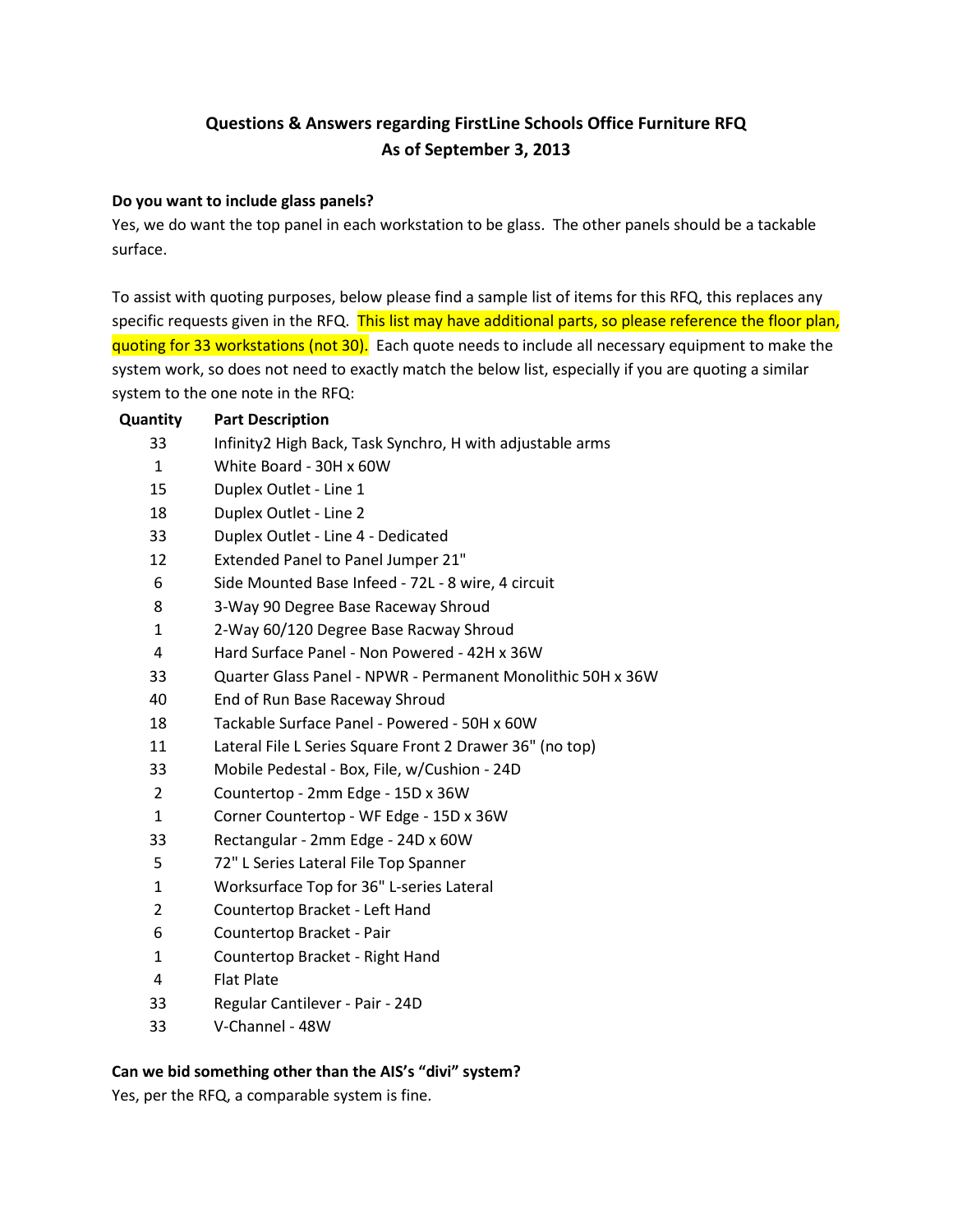# **Questions & Answers regarding FirstLine Schools Office Furniture RFQ As of September 3, 2013**

#### **Do you want to include glass panels?**

Yes, we do want the top panel in each workstation to be glass. The other panels should be a tackable surface.

To assist with quoting purposes, below please find a sample list of items for this RFQ, this replaces any specific requests given in the RFQ. This list may have additional parts, so please reference the floor plan, quoting for 33 workstations (not 30). Each quote needs to include all necessary equipment to make the system work, so does not need to exactly match the below list, especially if you are quoting a similar system to the one note in the RFQ:

| <b>Quantity</b> | <b>Part Description</b>                                     |
|-----------------|-------------------------------------------------------------|
| 33              | Infinity2 High Back, Task Synchro, H with adjustable arms   |
| 1               | White Board - 30H x 60W                                     |
| 15              | Duplex Outlet - Line 1                                      |
| 18              | Duplex Outlet - Line 2                                      |
| 33              | Duplex Outlet - Line 4 - Dedicated                          |
| 12              | <b>Extended Panel to Panel Jumper 21"</b>                   |
| 6               | Side Mounted Base Infeed - 72L - 8 wire, 4 circuit          |
| 8               | 3-Way 90 Degree Base Raceway Shroud                         |
| $\mathbf{1}$    | 2-Way 60/120 Degree Base Racway Shroud                      |
| 4               | Hard Surface Panel - Non Powered - 42H x 36W                |
| 33              | Quarter Glass Panel - NPWR - Permanent Monolithic 50H x 36W |
| 40              | End of Run Base Raceway Shroud                              |
| 18              | Tackable Surface Panel - Powered - 50H x 60W                |
| 11              | Lateral File L Series Square Front 2 Drawer 36" (no top)    |
| 33              | Mobile Pedestal - Box, File, w/Cushion - 24D                |
| $\overline{2}$  | Countertop - 2mm Edge - 15D x 36W                           |
| $\mathbf{1}$    | Corner Countertop - WF Edge - 15D x 36W                     |
| 33              | Rectangular - 2mm Edge - 24D x 60W                          |
| 5               | 72" L Series Lateral File Top Spanner                       |
| $\mathbf{1}$    | Worksurface Top for 36" L-series Lateral                    |
| 2               | Countertop Bracket - Left Hand                              |
| 6               | Countertop Bracket - Pair                                   |
| $\mathbf{1}$    | Countertop Bracket - Right Hand                             |
| 4               | <b>Flat Plate</b>                                           |
| 33              | Regular Cantilever - Pair - 24D                             |
| 33              | V-Channel - 48W                                             |

#### **Can we bid something other than the AIS's "divi" system?**

Yes, per the RFQ, a comparable system is fine.